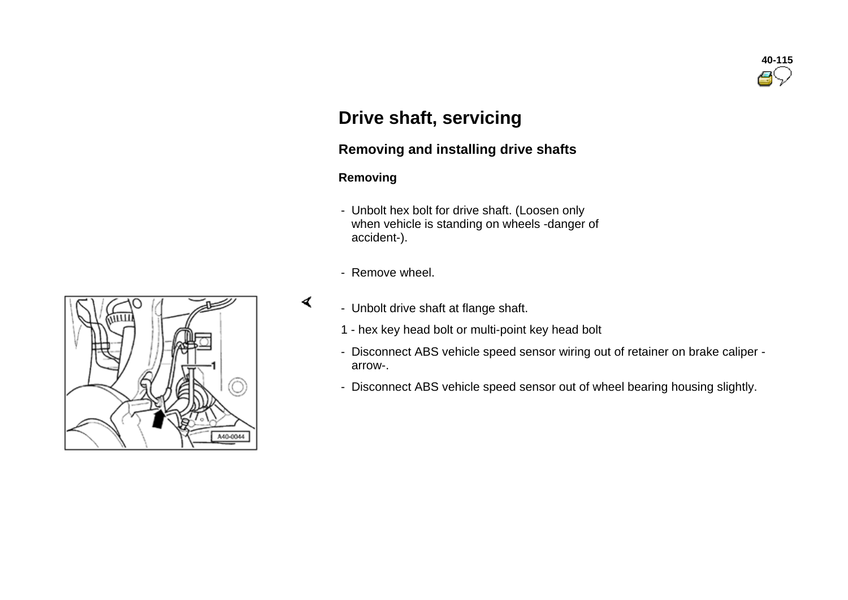

## **Drive shaft, servicing**

## **Removing and installing drive shafts**

#### **Removing**

∢

- Unbolt hex bolt for drive shaft. (Loosen only when vehicle is standing on wheels -danger of accident-).
- Remove wheel.
- Unbolt drive shaft at flange shaft.
	- 1 hex key head bolt or multi-point key head bolt
	- Disconnect ABS vehicle speed sensor wiring out of retainer on brake caliper arrow-.
	- Disconnect ABS vehicle speed sensor out of wheel bearing housing slightly.

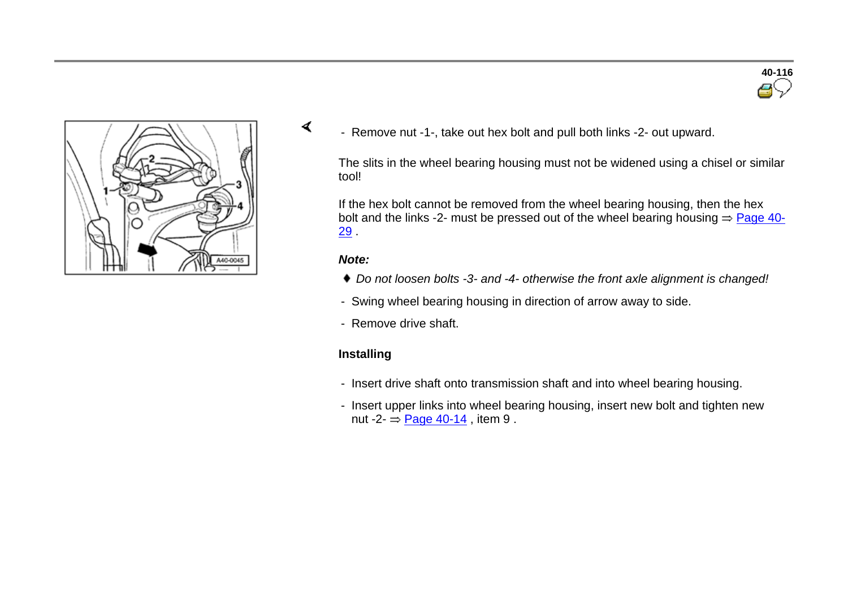



- Remove nut -1-, take out hex bolt and pull both links -2- out upward.

The slits in the wheel bearing housing must not be widened using a chisel or similar tool!

If the hex bolt cannot be removed from the wheel bearing housing, then the hex bolt and the links -2- must be pressed out of the wheel bearing housing  $\Rightarrow$  Page 40-29 .

#### *Note:*

∢

- *Do not loosen bolts -3- and -4- otherwise the front axle alignment is changed!*
- Swing wheel bearing housing in direction of arrow away to side.
- Remove drive shaft.

#### **Installing**

- Insert drive shaft onto transmission shaft and into wheel bearing housing.
- Insert upper links into wheel bearing housing, insert new bolt and tighten new nut -2- $\Rightarrow$  Page 40-14, item 9.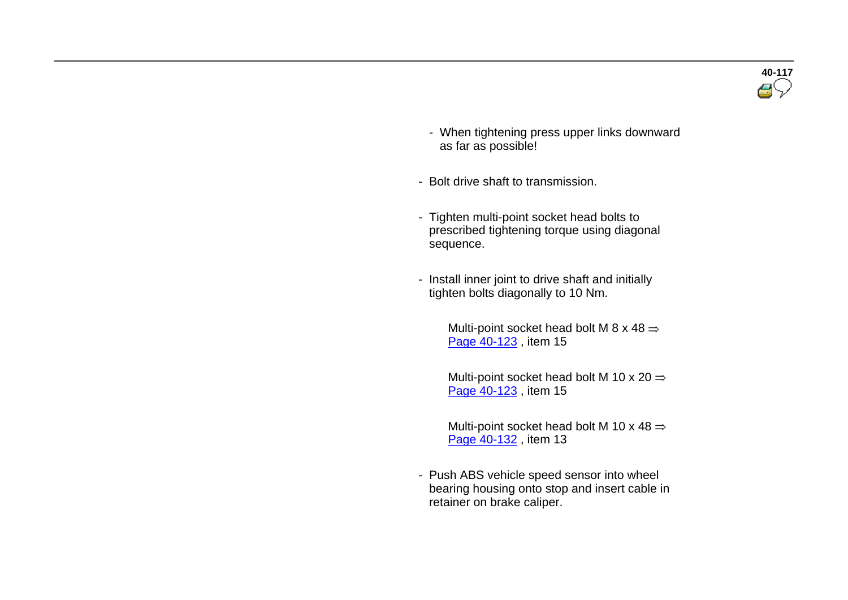- When tightening press upper links downward as far as possible!
- Bolt drive shaft to transmission.
- Tighten multi-point socket head bolts to prescribed tightening torque using diagonal sequence.
- Install inner joint to drive shaft and initially tighten bolts diagonally to 10 Nm.

Multi-point socket head bolt M 8 x 48  $\Rightarrow$ Page 40-123 , item 15

Multi-point socket head bolt M 10 x 20  $\Rightarrow$ Page 40-123 , item 15

Multi-point socket head bolt M 10 x 48  $\Rightarrow$ Page 40-132 , item 13

- Push ABS vehicle speed sensor into wheel bearing housing onto stop and insert cable in retainer on brake caliper.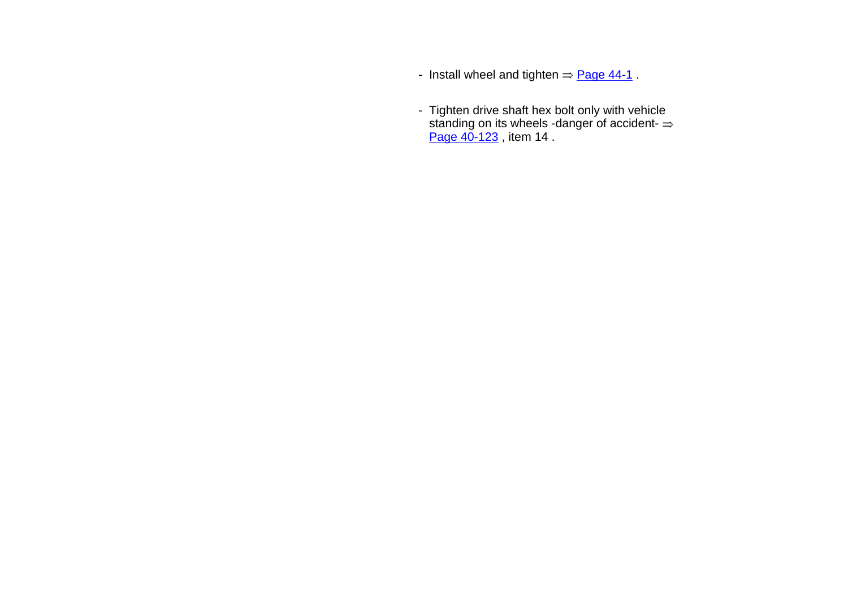- Install wheel and tighten  $\Rightarrow$  Page 44-1.
- Tighten drive shaft hex bolt only with vehicle standing on its wheels -danger of accident-Page 40-123 , item 14 .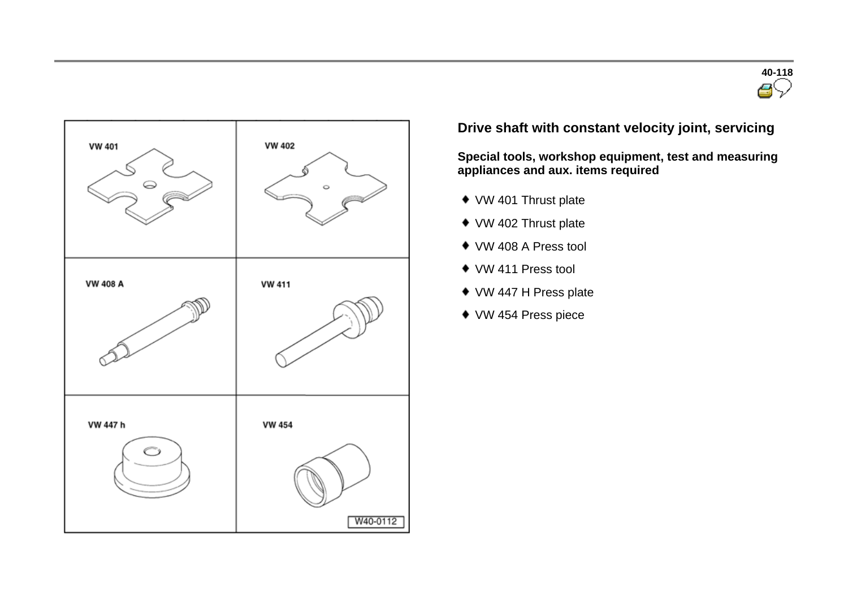



## **Drive shaft with constant velocity joint, servicing**

**Special tools, workshop equipment, test and measuring appliances and aux. items required** 

- ◆ VW 401 Thrust plate
- ◆ VW 402 Thrust plate
- VW 408 A Press tool
- VW 411 Press tool
- ◆ VW 447 H Press plate
- VW 454 Press piece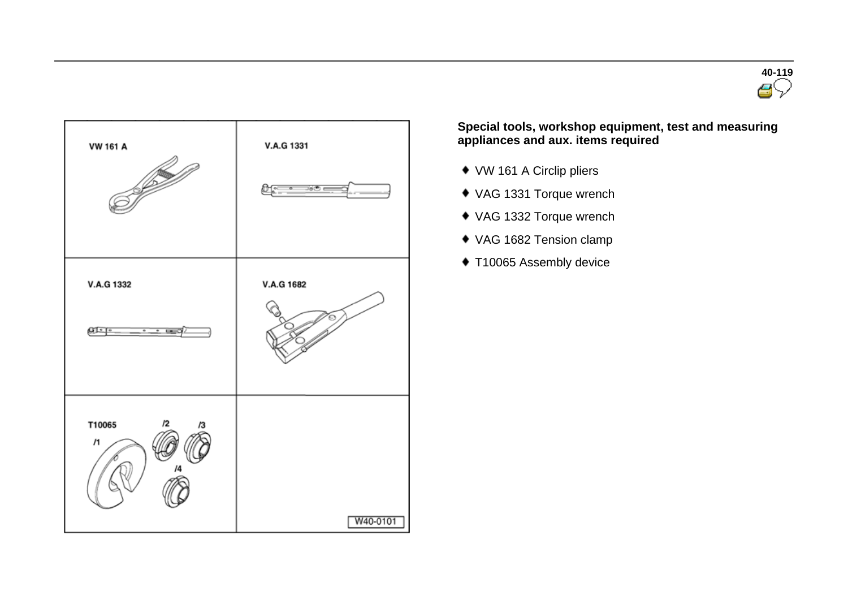



**Special tools, workshop equipment, test and measuring appliances and aux. items required** 

- VW 161 A Circlip pliers
- VAG 1331 Torque wrench
- VAG 1332 Torque wrench
- VAG 1682 Tension clamp
- ◆ T10065 Assembly device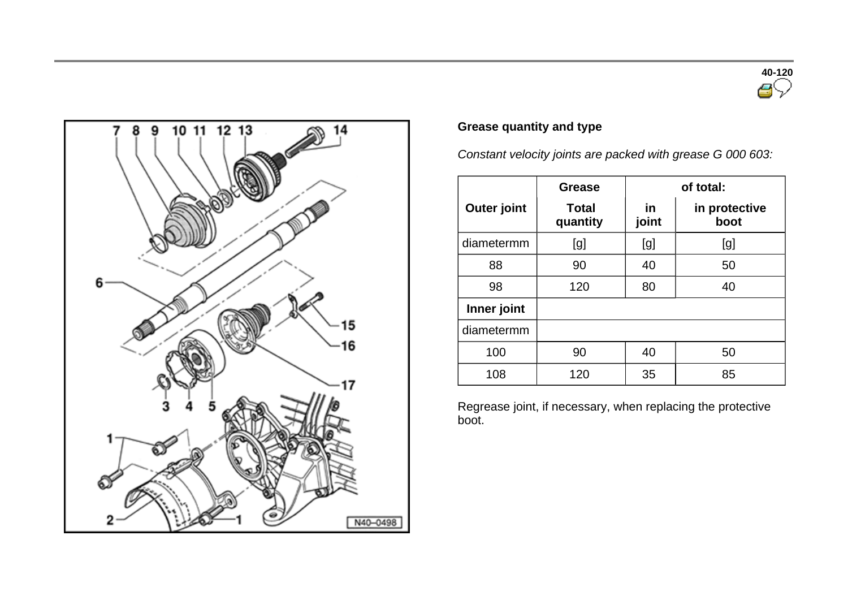



## **Grease quantity and type**

*Constant velocity joints are packed with grease G 000 603:*

|                    | <b>Grease</b>            | of total:          |                       |
|--------------------|--------------------------|--------------------|-----------------------|
| <b>Outer joint</b> | <b>Total</b><br>quantity | <u>in</u><br>joint | in protective<br>boot |
| diametermm         | [g]                      | [g]                | [g]                   |
| 88                 | 90                       | 40                 | 50                    |
| 98                 | 120                      | 80                 | 40                    |
| Inner joint        |                          |                    |                       |
| diametermm         |                          |                    |                       |
| 100                | 90                       | 40                 | 50                    |
| 108                | 120                      | 35                 | 85                    |

Regrease joint, if necessary, when replacing the protective boot.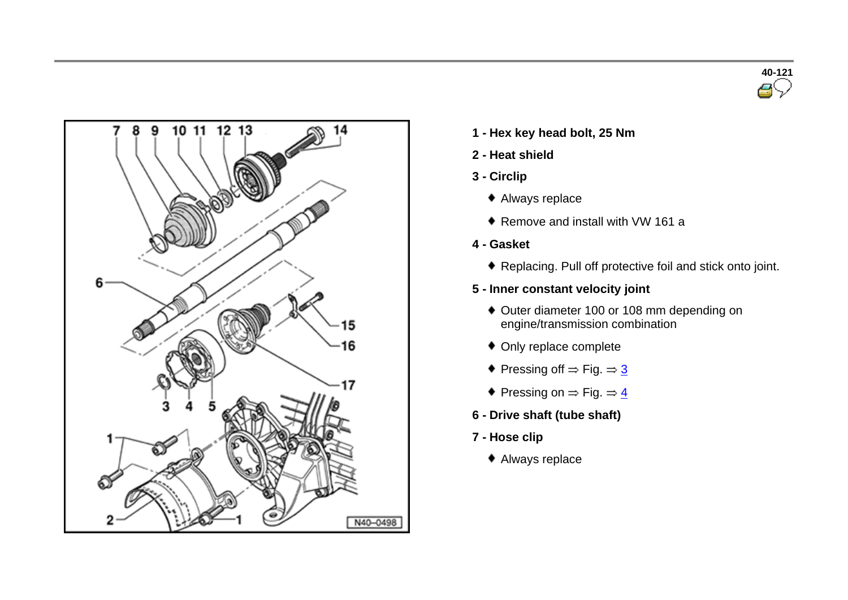



- **1 - Hex key head bolt, 25 Nm**
- **2 - Heat shield**
- **3 - Circlip**
	- Always replace
	- ◆ Remove and install with VW 161 a
- **4 - Gasket**
	- Replacing. Pull off protective foil and stick onto joint.
- **5 - Inner constant velocity joint**
	- Outer diameter 100 or 108 mm depending on engine/transmission combination
	- Only replace complete
	- $\bullet$  Pressing off  $\Rightarrow$  Fig.  $\Rightarrow$  3
	- $\blacklozenge$  Pressing on  $\Rightarrow$  Fig.  $\Rightarrow$   $\frac{4}{5}$
- **6 - Drive shaft (tube shaft)**
- **7 - Hose clip**
	- Always replace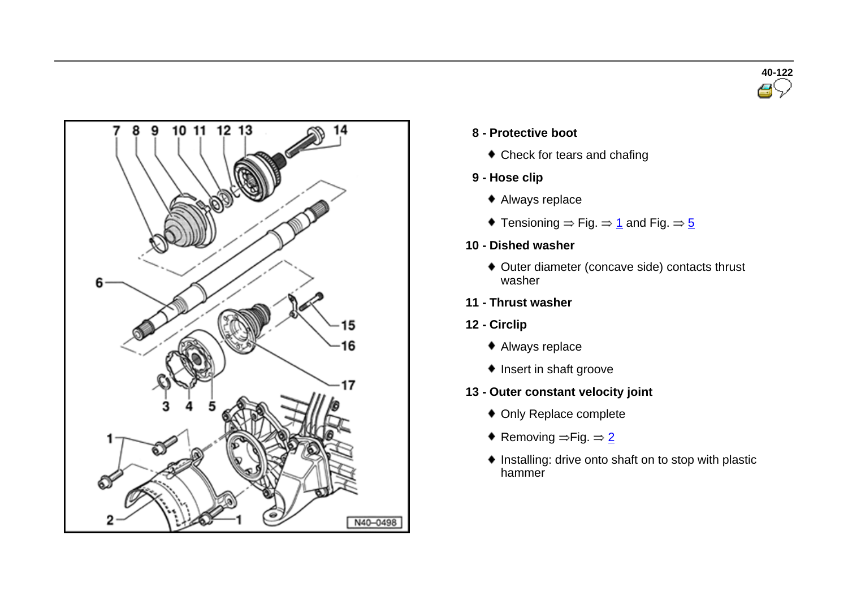



- **8 - Protective boot**
	- Check for tears and chafing
- **9 - Hose clip**
	- Always replace
	- Tensioning  $\Rightarrow$  Fig.  $\Rightarrow$  1 and Fig.  $\Rightarrow$  5
- **10 - Dished washer**
	- ◆ Outer diameter (concave side) contacts thrust washer
- **11 - Thrust washer**
- **12 - Circlip**
	- Always replace
	- $\bullet$  Insert in shaft groove
- **13 - Outer constant velocity joint**
	- Only Replace complete
	- Removing  $\Rightarrow$  Fig.  $\Rightarrow$  2
	- $\bullet$  Installing: drive onto shaft on to stop with plastic hammer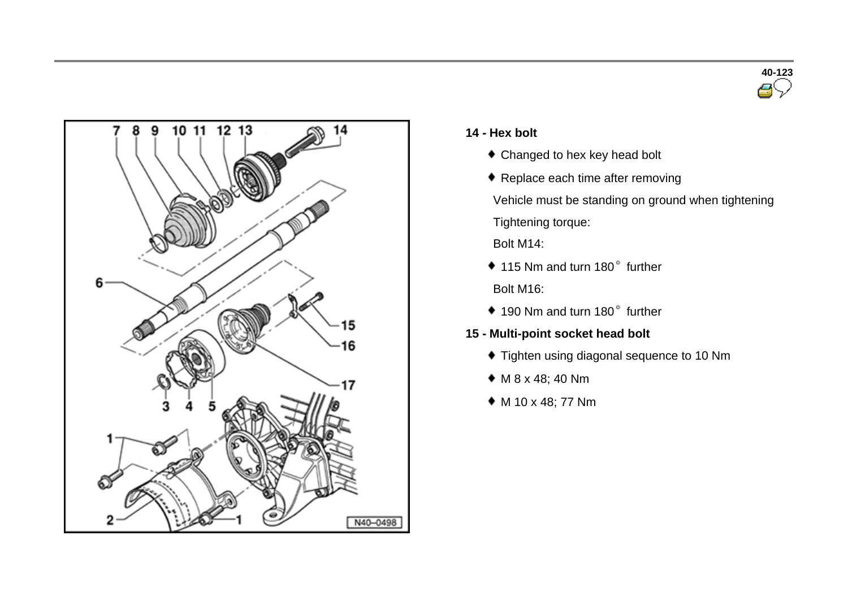



#### **14 - Hex bolt**

- Changed to hex key head bolt
- ◆ Replace each time after removing
- Vehicle must be standing on ground when tightening Tightening torque:
- Bolt M14:
- $*$  115 Nm and turn 180 $^{\circ}$  further Bolt M16:
- 190 Nm and turn 180° further
- **15 - Multi-point socket head bolt**
	- $\bullet$  Tighten using diagonal sequence to 10 Nm
	- M 8 x 48; 40 Nm
	- M 10 x 48; 77 Nm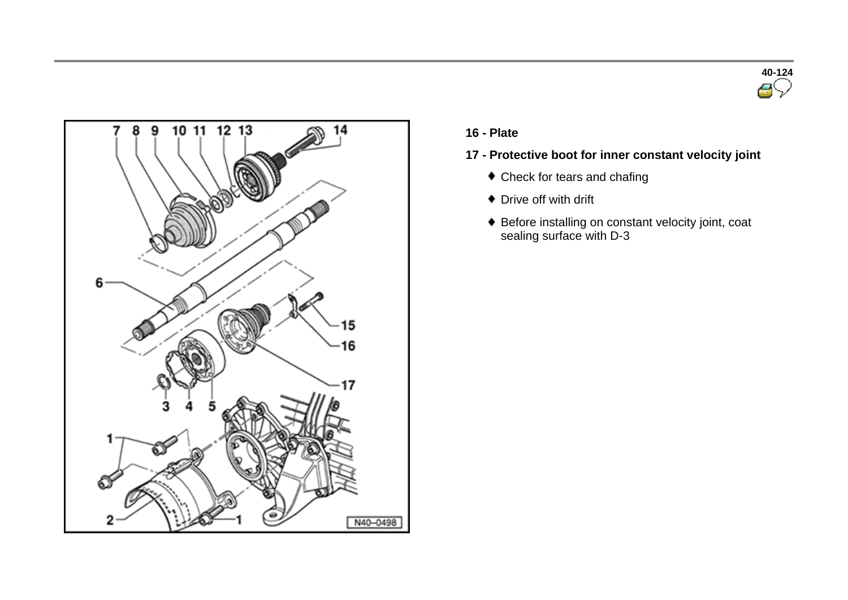



**16 - Plate**

## **17 - Protective boot for inner constant velocity joint**

- Check for tears and chafing
- Drive off with drift
- Before installing on constant velocity joint, coat sealing surface with D-3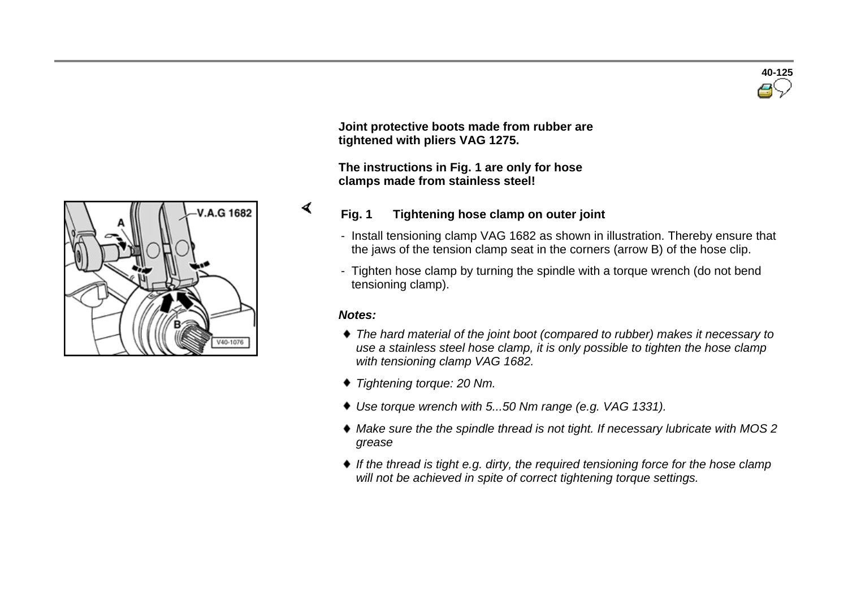

**Joint protective boots made from rubber are tightened with pliers VAG 1275.**

**The instructions in Fig. 1 are only for hose clamps made from stainless steel!**



#### **Fig. 1 Tightening hose clamp on outer joint**

- Install tensioning clamp VAG 1682 as shown in illustration. Thereby ensure that the jaws of the tension clamp seat in the corners (arrow B) of the hose clip.
- Tighten hose clamp by turning the spindle with a torque wrench (do not bend tensioning clamp).

#### *Notes:*

∢

- *The hard material of the joint boot (compared to rubber) makes it necessary to use a stainless steel hose clamp, it is only possible to tighten the hose clamp with tensioning clamp VAG 1682.*
- *Tightening torque: 20 Nm.*
- *Use torque wrench with 5...50 Nm range (e.g. VAG 1331).*
- *Make sure the the spindle thread is not tight. If necessary lubricate with MOS 2 grease*
- ◆ If the thread is tight e.g. dirty, the required tensioning force for the hose clamp *will not be achieved in spite of correct tightening torque settings.*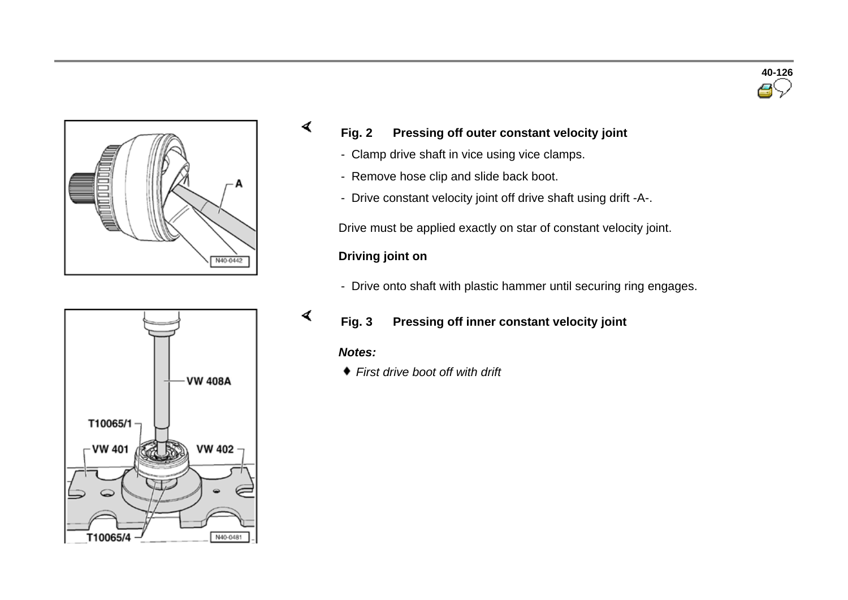



## **Fig. 2 Pressing off outer constant velocity joint**

- Clamp drive shaft in vice using vice clamps.
- Remove hose clip and slide back boot.
- Drive constant velocity joint off drive shaft using drift -A-.

Drive must be applied exactly on star of constant velocity joint.

## **Driving joint on**

- Drive onto shaft with plastic hammer until securing ring engages.

## **Fig. 3 Pressing off inner constant velocity joint**

#### *Notes:*

∢

∢

*First drive boot off with drift*

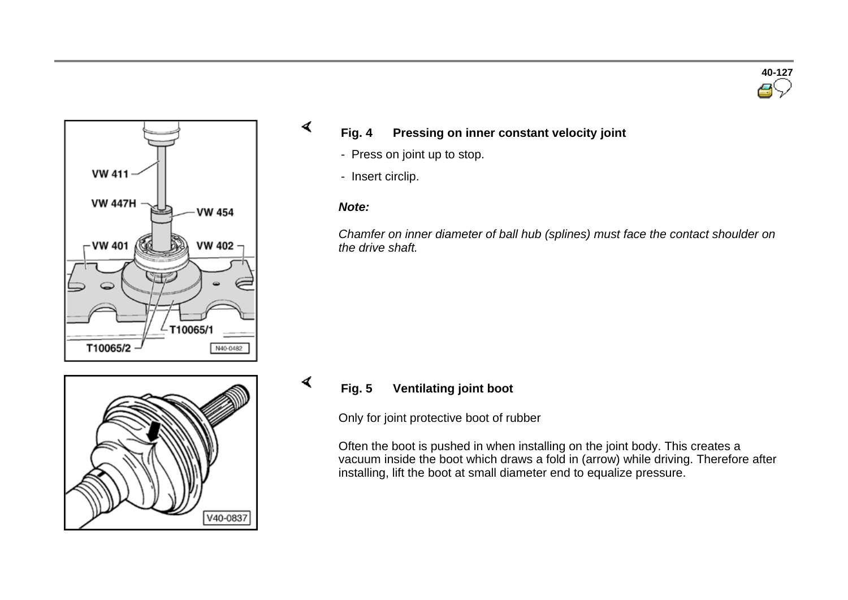



## **Fig. 4 Pressing on inner constant velocity joint**

- Press on joint up to stop.
- Insert circlip.

#### *Note:*

∢

∢

*Chamfer on inner diameter of ball hub (splines) must face the contact shoulder on the drive shaft.*



## **Fig. 5 Ventilating joint boot**

Only for joint protective boot of rubber

Often the boot is pushed in when installing on the joint body. This creates a vacuum inside the boot which draws a fold in (arrow) while driving. Therefore after installing, lift the boot at small diameter end to equalize pressure.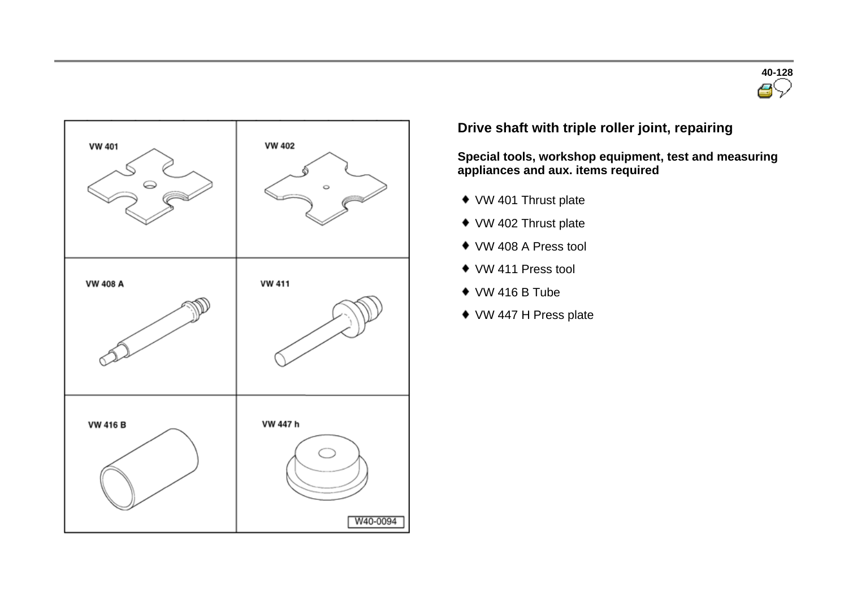



## **Drive shaft with triple roller joint, repairing**

**Special tools, workshop equipment, test and measuring appliances and aux. items required** 

- ◆ VW 401 Thrust plate
- ◆ VW 402 Thrust plate
- VW 408 A Press tool
- ◆ VW 411 Press tool
- VW 416 B Tube
- VW 447 H Press plate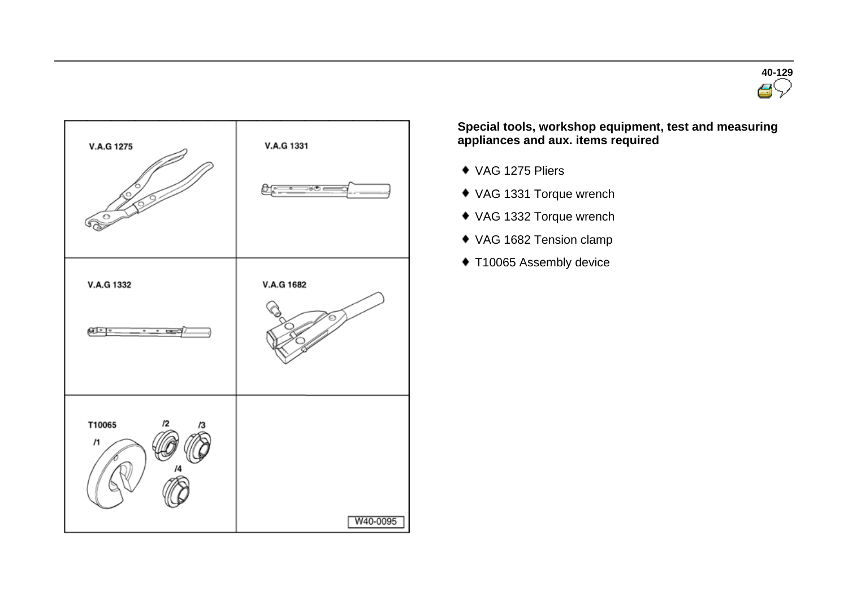



**Special tools, workshop equipment, test and measuring appliances and aux. items required** 

- VAG 1275 Pliers
- VAG 1331 Torque wrench
- VAG 1332 Torque wrench
- VAG 1682 Tension clamp
- ◆ T10065 Assembly device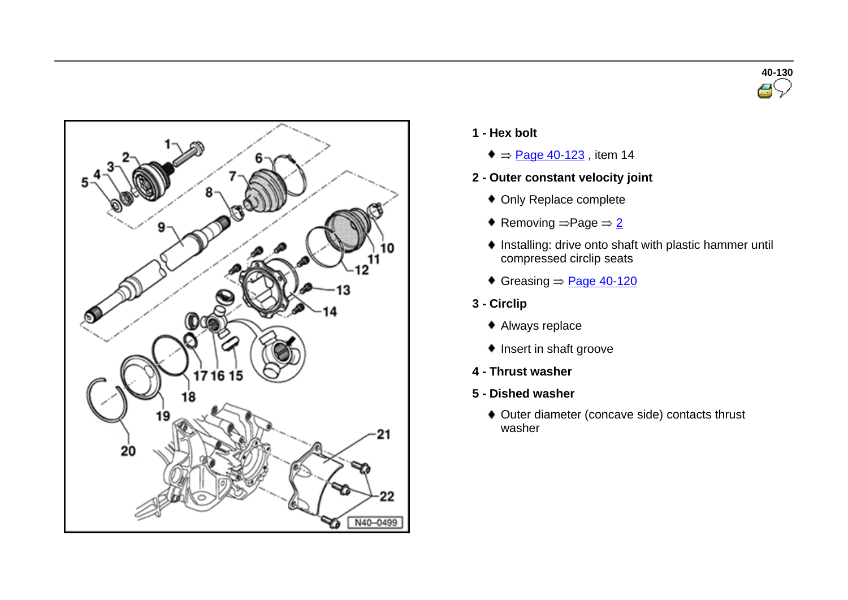



- **1 - Hex bolt**
	- $\triangleq$   $\Rightarrow$  Page 40-123, item 14
- **2 - Outer constant velocity joint**
	- Only Replace complete
	- Removing  $\Rightarrow$  Page  $\Rightarrow$  2
	- Installing: drive onto shaft with plastic hammer until compressed circlip seats
	- Greasing  $\Rightarrow$  Page 40-120
- **3 - Circlip**
	- Always replace
	- ◆ Insert in shaft groove
- **4 - Thrust washer**
- **5 - Dished washer**
	- Outer diameter (concave side) contacts thrust washer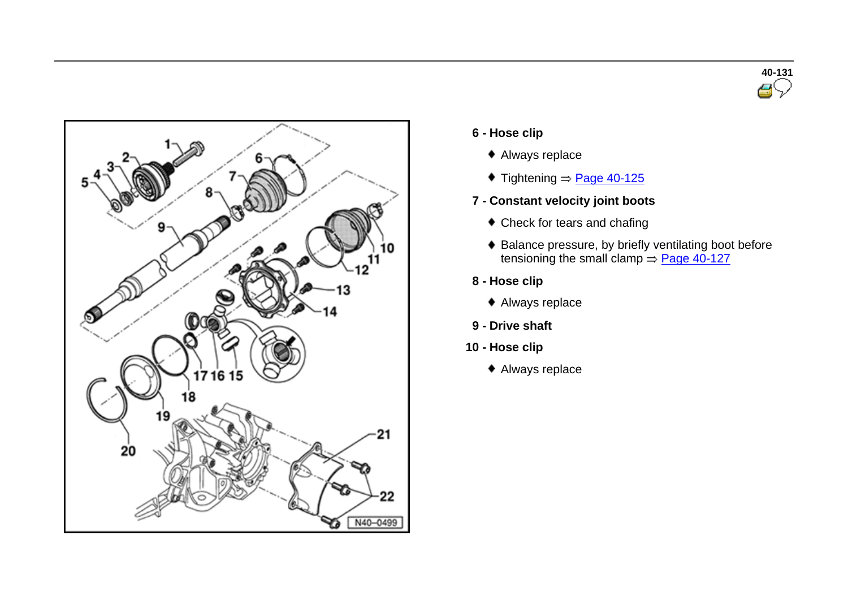



- **6 - Hose clip**
	- Always replace
	- $\blacklozenge$  Tightening  $\Rightarrow$  Page 40-125
- **7 - Constant velocity joint boots**
	- Check for tears and chafing
	- $\bullet$  Balance pressure, by briefly ventilating boot before tensioning the small clamp  $\Rightarrow$  Page 40-127
- **8 - Hose clip**
	- Always replace
- **9 - Drive shaft**
- **10 - Hose clip**
	- Always replace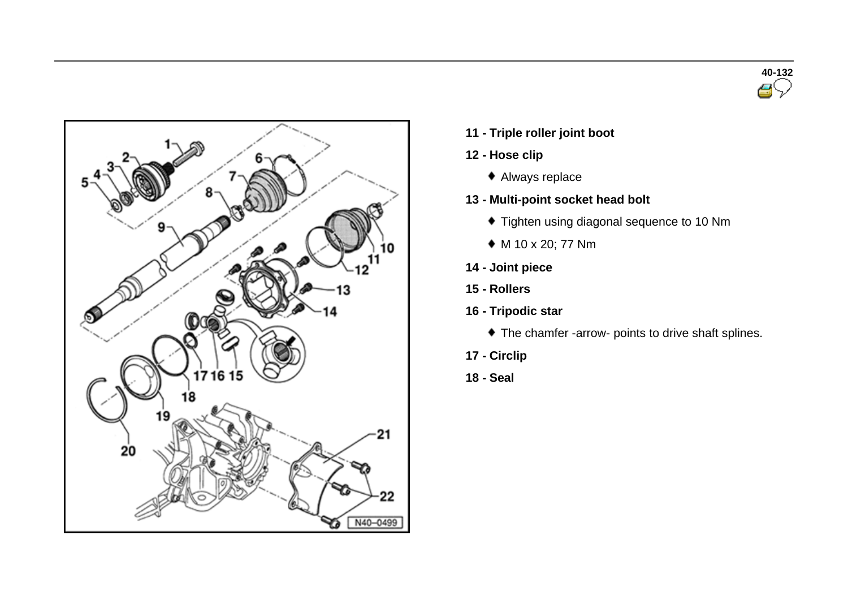



- **11 - Triple roller joint boot**
- **12 - Hose clip**
	- Always replace
- **13 - Multi-point socket head bolt**
	- Tighten using diagonal sequence to 10 Nm
	- M 10 x 20; 77 Nm
- **14 - Joint piece**
- **15 - Rollers**
- **16 - Tripodic star**
	- The chamfer -arrow- points to drive shaft splines.
- **17 - Circlip**
- **18 - Seal**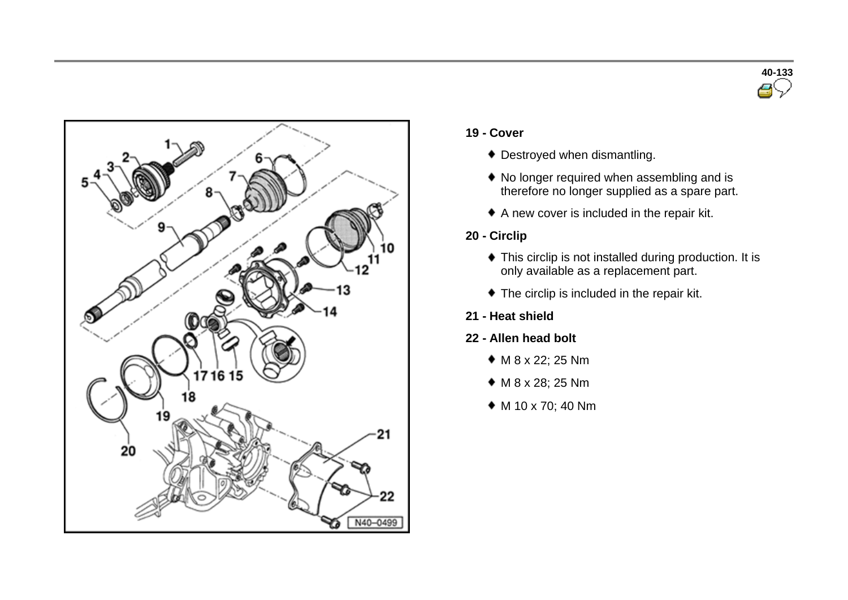



#### **19 - Cover**

- Destroyed when dismantling.
- $\bullet$  No longer required when assembling and is therefore no longer supplied as a spare part.
- A new cover is included in the repair kit.
- **20 - Circlip**
	- This circlip is not installed during production. It is only available as a replacement part.
	- The circlip is included in the repair kit.

## **21 - Heat shield**

## **22 - Allen head bolt**

- M 8 x 22; 25 Nm
- M 8 x 28; 25 Nm
- M 10 x 70; 40 Nm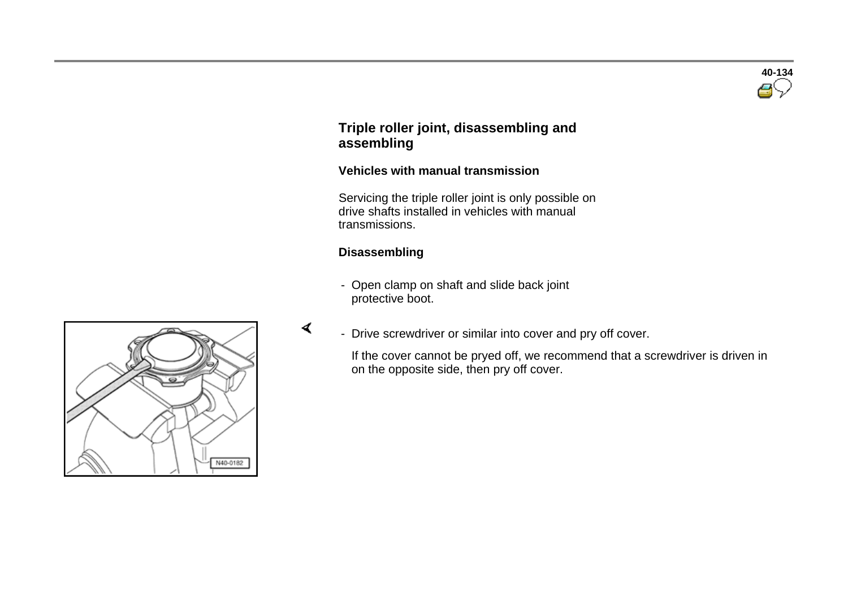# **40-134**

## **Triple roller joint, disassembling and assembling**

## **Vehicles with manual transmission**

 Servicing the triple roller joint is only possible on drive shafts installed in vehicles with manual transmissions.

#### **Disassembling**

∢

- Open clamp on shaft and slide back joint protective boot.

- N40-0182
- Drive screwdriver or similar into cover and pry off cover.

 If the cover cannot be pryed off, we recommend that a screwdriver is driven in on the opposite side, then pry off cover.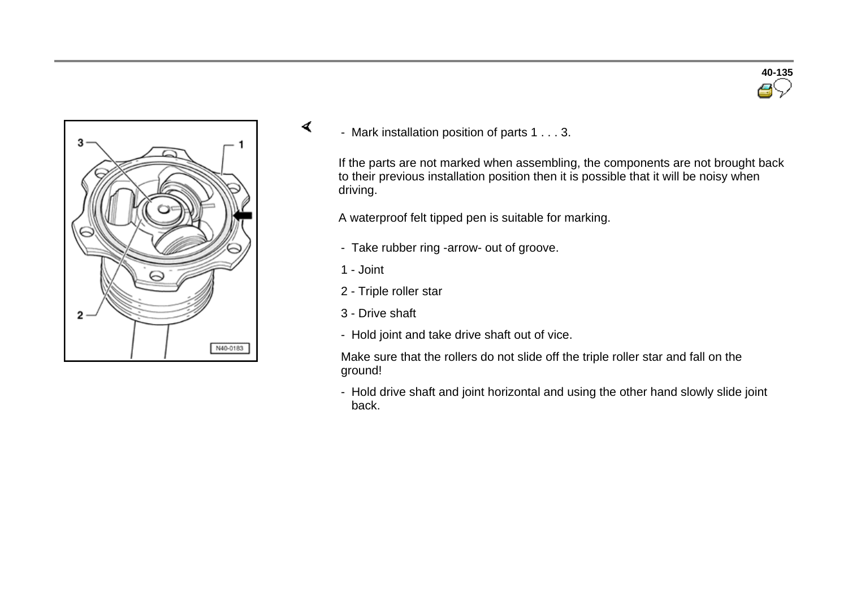

- Mark installation position of parts 1 . . . 3.

If the parts are not marked when assembling, the components are not brought back to their previous installation position then it is possible that it will be noisy when driving.

A waterproof felt tipped pen is suitable for marking.

- Take rubber ring -arrow- out of groove.
- 1 Joint

∢

- 2 Triple roller star
- 3 Drive shaft
- Hold joint and take drive shaft out of vice.

Make sure that the rollers do not slide off the triple roller star and fall on the ground!

- Hold drive shaft and joint horizontal and using the other hand slowly slide joint back.

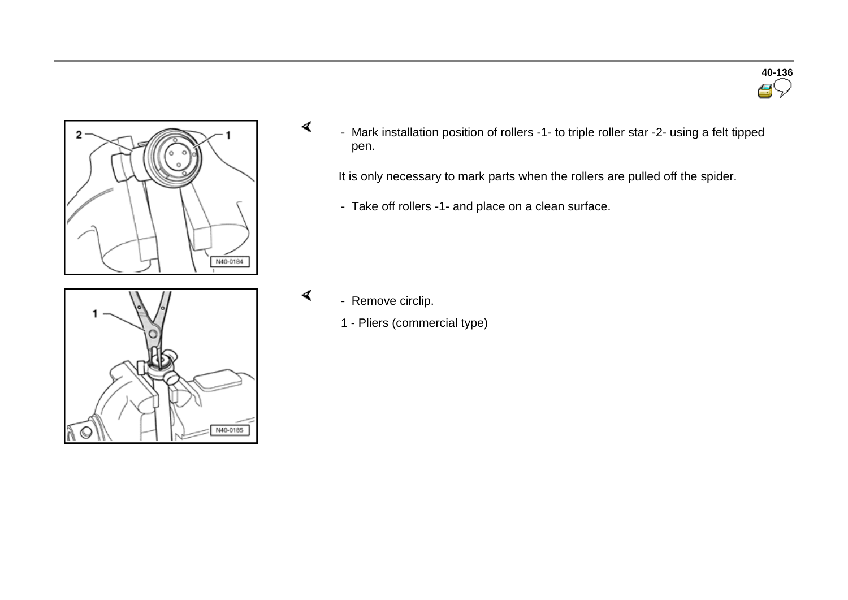



- Mark installation position of rollers -1- to triple roller star -2- using a felt tipped pen.

It is only necessary to mark parts when the rollers are pulled off the spider.

- Take off rollers -1- and place on a clean surface.



- Remove circlip.

∢

∢

1 - Pliers (commercial type)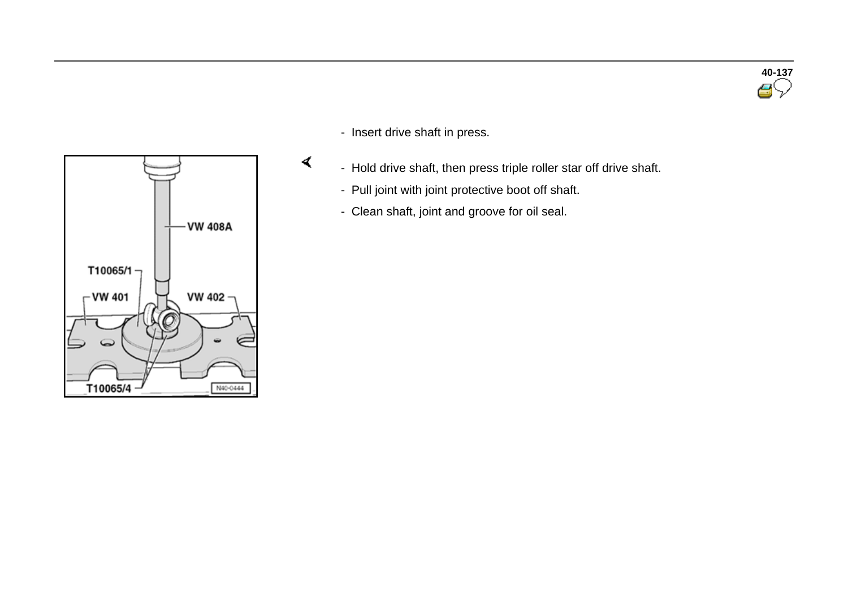



- Insert drive shaft in press.

 $\blacktriangleleft$ 

- Hold drive shaft, then press triple roller star off drive shaft.
	- Pull joint with joint protective boot off shaft.
	- Clean shaft, joint and groove for oil seal.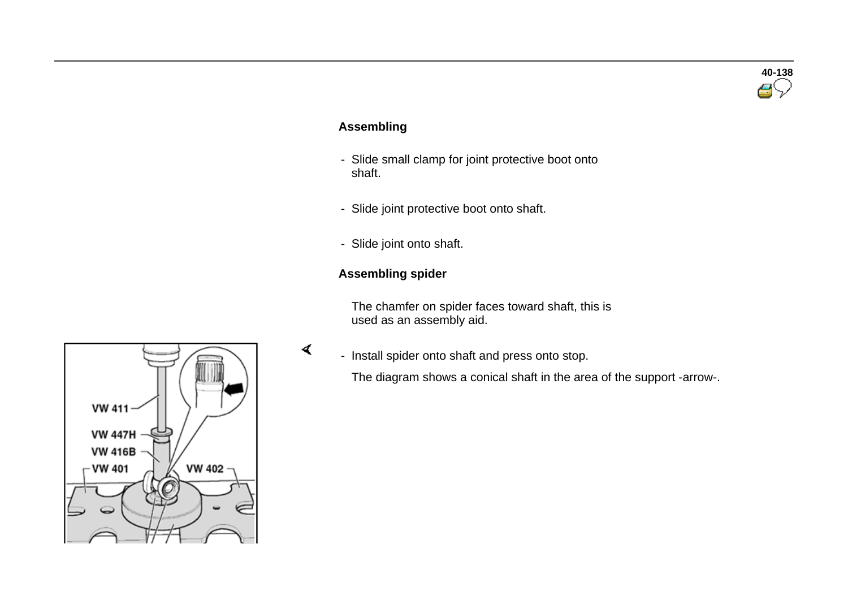# **40-138**

## **Assembling**

- Slide small clamp for joint protective boot onto shaft.
- Slide joint protective boot onto shaft.
- Slide joint onto shaft.

## **Assembling spider**

∢

 The chamfer on spider faces toward shaft, this is used as an assembly aid.

- Install spider onto shaft and press onto stop.

The diagram shows a conical shaft in the area of the support -arrow-.

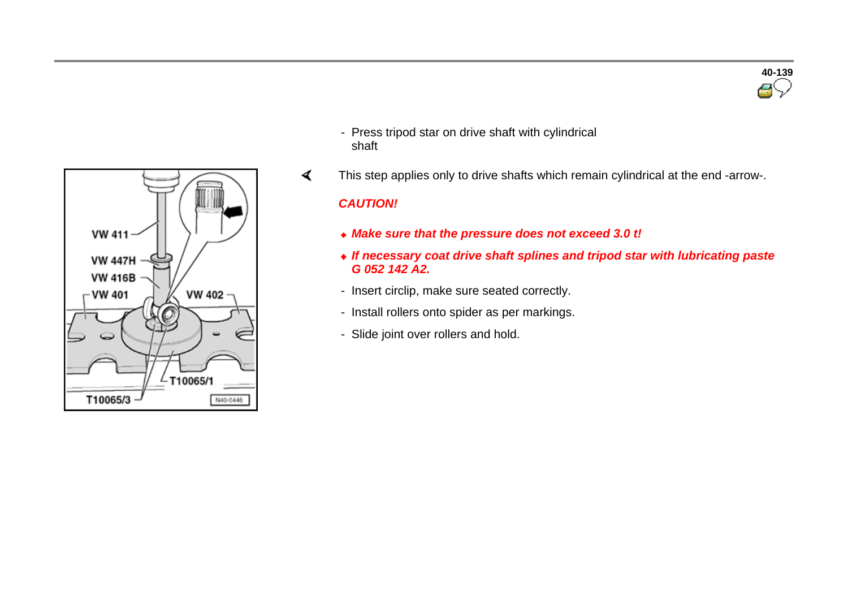



- Press tripod star on drive shaft with cylindrical shaft
- ∢ This step applies only to drive shafts which remain cylindrical at the end -arrow-.

#### *CAUTION!*

- *Make sure that the pressure does not exceed 3.0 t!*
- *If necessary coat drive shaft splines and tripod star with lubricating paste G 052 142 A2.*
- Insert circlip, make sure seated correctly.
- Install rollers onto spider as per markings.
- Slide joint over rollers and hold.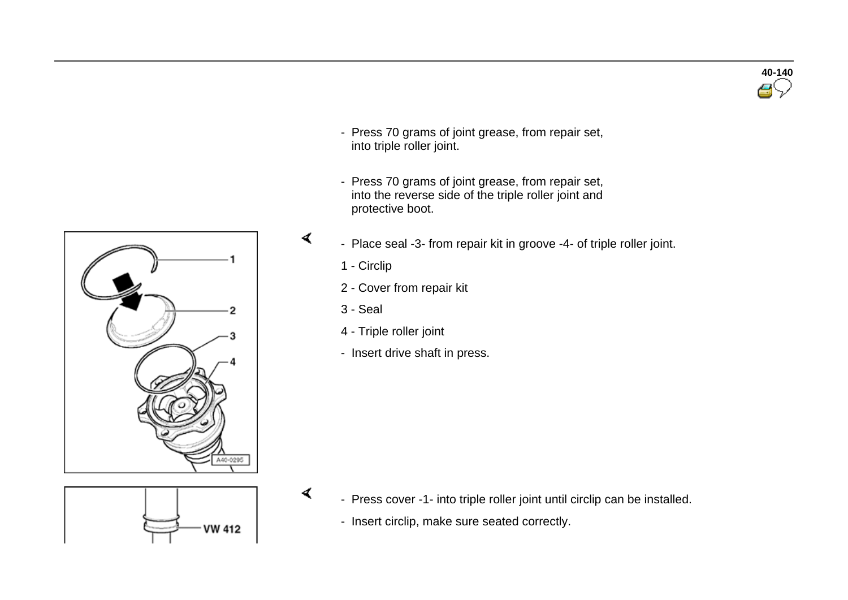

- Press 70 grams of joint grease, from repair set, into triple roller joint.
- Press 70 grams of joint grease, from repair set, into the reverse side of the triple roller joint and protective boot.
- Place seal -3- from repair kit in groove -4- of triple roller joint.
	- 1 Circlip

∢

∢

- 2 Cover from repair kit
- 3 Seal
- 4 Triple roller joint
- Insert drive shaft in press.



- Press cover -1- into triple roller joint until circlip can be installed.
- Insert circlip, make sure seated correctly.

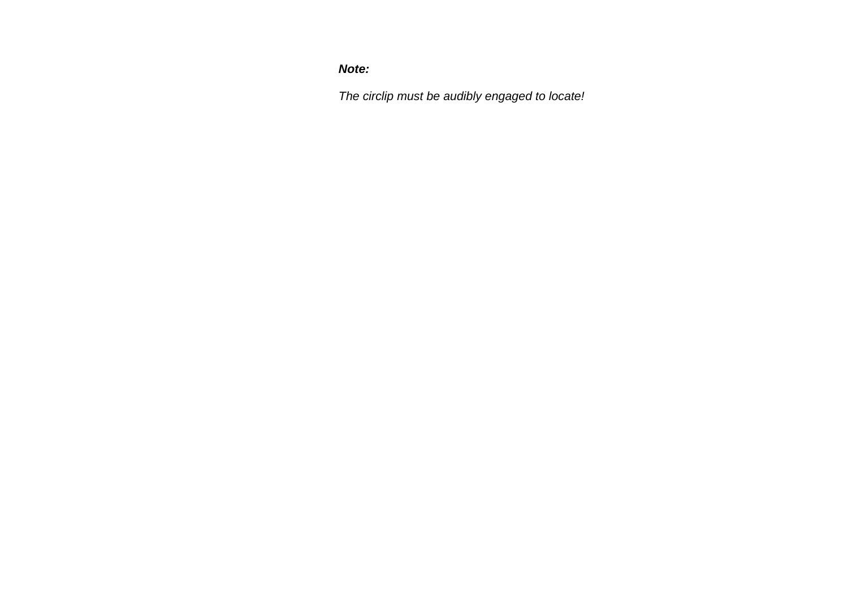*Note:*

*The circlip must be audibly engaged to locate!*